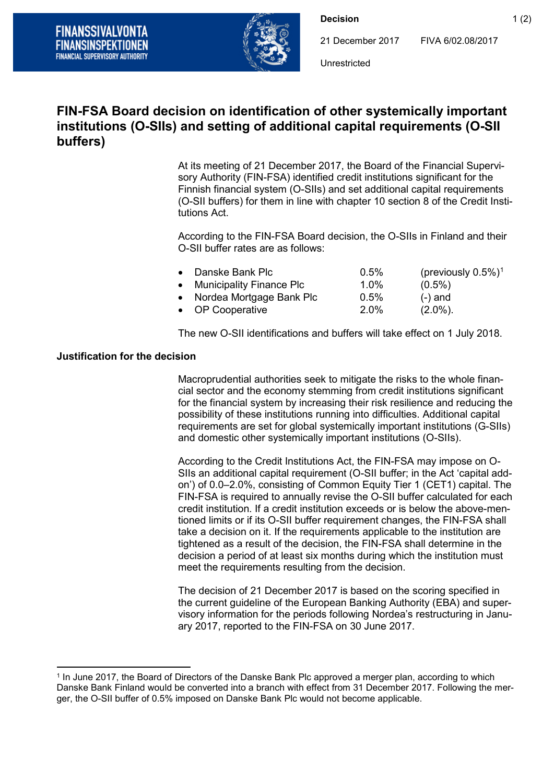

**Decision** 1 (2)

21 December 2017 FIVA 6/02.08/2017

Unrestricted

## **FIN-FSA Board decision on identification of other systemically important institutions (O-SIIs) and setting of additional capital requirements (O-SII buffers)**

At its meeting of 21 December 2017, the Board of the Financial Supervisory Authority (FIN-FSA) identified credit institutions significant for the Finnish financial system (O-SIIs) and set additional capital requirements (O-SII buffers) for them in line with chapter 10 section 8 of the Credit Institutions Act.

According to the FIN-FSA Board decision, the O-SIIs in Finland and their O-SII buffer rates are as follows:

| • Danske Bank Plc          | $0.5\%$ | (previously $0.5\%)^1$ |
|----------------------------|---------|------------------------|
| • Municipality Finance Plc | 1.0%    | $(0.5\%)$              |
| • Nordea Mortgage Bank Plc | 0.5%    | $(-)$ and              |
| • OP Cooperative           | 2.0%    | $(2.0\%)$ .            |

The new O-SII identifications and buffers will take effect on 1 July 2018.

## **Justification for the decision**

Macroprudential authorities seek to mitigate the risks to the whole financial sector and the economy stemming from credit institutions significant for the financial system by increasing their risk resilience and reducing the possibility of these institutions running into difficulties. Additional capital requirements are set for global systemically important institutions (G-SIIs) and domestic other systemically important institutions (O-SIIs).

According to the Credit Institutions Act, the FIN-FSA may impose on O-SIIs an additional capital requirement (O-SII buffer; in the Act 'capital addon') of 0.0–2.0%, consisting of Common Equity Tier 1 (CET1) capital. The FIN-FSA is required to annually revise the O-SII buffer calculated for each credit institution. If a credit institution exceeds or is below the above-mentioned limits or if its O-SII buffer requirement changes, the FIN-FSA shall take a decision on it. If the requirements applicable to the institution are tightened as a result of the decision, the FIN-FSA shall determine in the decision a period of at least six months during which the institution must meet the requirements resulting from the decision.

The decision of 21 December 2017 is based on the scoring specified in the current guideline of the European Banking Authority (EBA) and supervisory information for the periods following Nordea's restructuring in January 2017, reported to the FIN-FSA on 30 June 2017.

<span id="page-0-0"></span> <sup>1</sup> In June 2017, the Board of Directors of the Danske Bank Plc approved a merger plan, according to which Danske Bank Finland would be converted into a branch with effect from 31 December 2017. Following the merger, the O-SII buffer of 0.5% imposed on Danske Bank Plc would not become applicable.